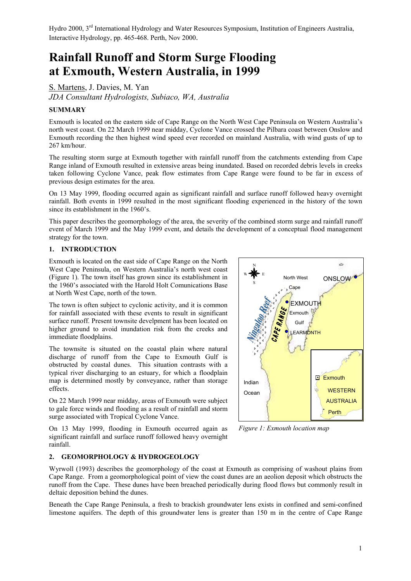# **Rainfall Runoff and Storm Surge Flooding at Exmouth, Western Australia, in 1999**

S. Martens, J. Davies, M. Yan *JDA Consultant Hydrologists, Subiaco, WA, Australia*

# **SUMMARY**

Exmouth is located on the eastern side of Cape Range on the North West Cape Peninsula on Western Australia's north west coast. On 22 March 1999 near midday, Cyclone Vance crossed the Pilbara coast between Onslow and Exmouth recording the then highest wind speed ever recorded on mainland Australia, with wind gusts of up to 267 km/hour.

The resulting storm surge at Exmouth together with rainfall runoff from the catchments extending from Cape Range inland of Exmouth resulted in extensive areas being inundated. Based on recorded debris levels in creeks taken following Cyclone Vance, peak flow estimates from Cape Range were found to be far in excess of previous design estimates for the area.

On 13 May 1999, flooding occurred again as significant rainfall and surface runoff followed heavy overnight rainfall. Both events in 1999 resulted in the most significant flooding experienced in the history of the town since its establishment in the 1960's.

This paper describes the geomorphology of the area, the severity of the combined storm surge and rainfall runoff event of March 1999 and the May 1999 event, and details the development of a conceptual flood management strategy for the town.

#### **1. INTRODUCTION**

Exmouth is located on the east side of Cape Range on the North West Cape Peninsula, on Western Australia's north west coast (Figure 1). The town itself has grown since its establishment in the 1960's associated with the Harold Holt Comunications Base at North West Cape, north of the town.

The town is often subject to cyclonic activity, and it is common for rainfall associated with these events to result in significant surface runoff. Present townsite develpment has been located on higher ground to avoid inundation risk from the creeks and immediate floodplains.

The townsite is situated on the coastal plain where natural discharge of runoff from the Cape to Exmouth Gulf is obstructed by coastal dunes. This situation contrasts with a typical river discharging to an estuary, for which a floodplain map is determined mostly by conveyance, rather than storage effects.

On 22 March 1999 near midday, areas of Exmouth were subject to gale force winds and flooding as a result of rainfall and storm surge associated with Tropical Cyclone Vance.

On 13 May 1999, flooding in Exmouth occurred again as significant rainfall and surface runoff followed heavy overnight rainfall.



*Figure 1: Exmouth location map*

# **2. GEOMORPHOLOGY & HYDROGEOLOGY**

Wyrwoll (1993) describes the geomorphology of the coast at Exmouth as comprising of washout plains from Cape Range. From a geomorphological point of view the coast dunes are an aeolion deposit which obstructs the runoff from the Cape. These dunes have been breached periodically during flood flows but commonly result in deltaic deposition behind the dunes.

Beneath the Cape Range Peninsula, a fresh to brackish groundwater lens exists in confined and semi-confined limestone aquifers. The depth of this groundwater lens is greater than 150 m in the centre of Cape Range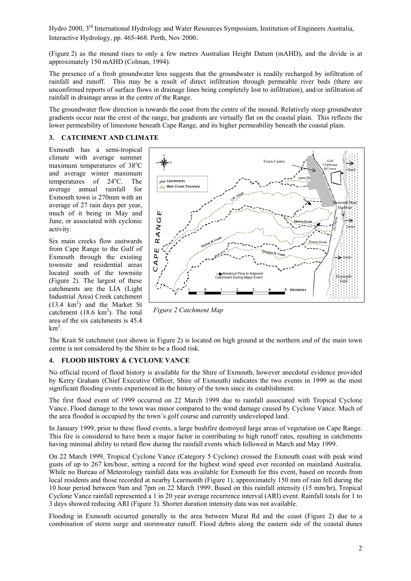(Figure 2) as the mound rises to only a few metres Australian Height Datum (mAHD), and the divide is at approximately 150 mAHD (Colman, 1994).

The presence of a fresh groundwater lens suggests that the groundwater is readily recharged by infiltration of rainfall and runoff. This may be a result of direct infiltration through permeable river beds (there are unconfirmed reports of surface flows in drainage lines being completely lost to infiltration), and/or infiltration of rainfall in drainage areas in the centre of the Range.

The groundwater flow direction is towards the coast from the centre of the mound. Relatively steep groundwater gradients occur near the crest of the range, but gradients are virtually flat on the coastal plain. This reflects the lower permeability of limestone beneath Cape Range, and its higher permeability beneath the coastal plain.

#### **3. CATCHMENT AND CLIMATE**

Exmouth has a semi-tropical climate with average summer maximum temperatures of 38°C and average winter maximum temperatures of 24<sup>o</sup>C. The average annual rainfall for Exmouth town is 270mm with an average of 27 rain days per year, much of it being in May and June, or associated with cyclonic activity.

Six main creeks flow eastwards from Cape Range to the Gulf of Exmouth through the existing townsite and residential areas located south of the townsite (Figure 2). The largest of these catchments are the LIA (Light Industrial Area) Creek catchment  $(13.4 \text{ km}^2)$  and the Market St catchment  $(18.6 \text{ km}^2)$ . The total area of the six catchments is 45.4  $km^2$ .



*Figure 2 Catchment Map*

The Krait St catchment (not shown in Figure 2) is located on high ground at the northern end of the main town centre is not considered by the Shire to be a flood risk.

# **4. FLOOD HISTORY & CYCLONE VANCE**

No official record of flood history is available for the Shire of Exmouth, however anecdotal evidence provided by Kerry Graham (Chief Executive Officer, Shire of Exmouth) indicates the two events in 1999 as the most significant flooding events experienced in the history of the town since its establishment.

The first flood event of 1999 occurred on 22 March 1999 due to rainfall associated with Tropical Cyclone Vance. Flood damage to the town was minor compared to the wind damage caused by Cyclone Vance. Much of the area flooded is occupied by the town's golf course and currently undeveloped land.

In January 1999, prior to these flood events, a large bushfire destroyed large areas of vegetation on Cane Range. This fire is considered to have been a major factor in contributing to high runoff rates, resulting in catchments having minimal ability to retard flow during the rainfall events which followed in March and May 1999.

On 22 March 1999, Tropical Cyclone Vance (Category 5 Cyclone) crossed the Exmouth coast with peak wind gusts of up to 267 km/hour, setting a record for the highest wind speed ever recorded on mainland Australia. While no Bureau of Meteorology rainfall data was available for Exmouth for this event, based on records from local residents and those recorded at nearby Learmonth (Figure 1), approximately 150 mm of rain fell during the 10 hour period between 9am and 7pm on 22 March 1999. Based on this rainfall intensity (15 mm/hr), Tropical Cyclone Vance rainfall represented a 1 in 20 year average recurrence interval (ARI) event. Rainfall totals for 1 to 3 days showed reducing ARI (Figure 3). Shorter duration intensity data was not available.

Flooding in Exmouth occurred generally in the area between Murat Rd and the coast (Figure 2) due to a combination of storm surge and stormwater runoff. Flood debris along the eastern side of the coastal dunes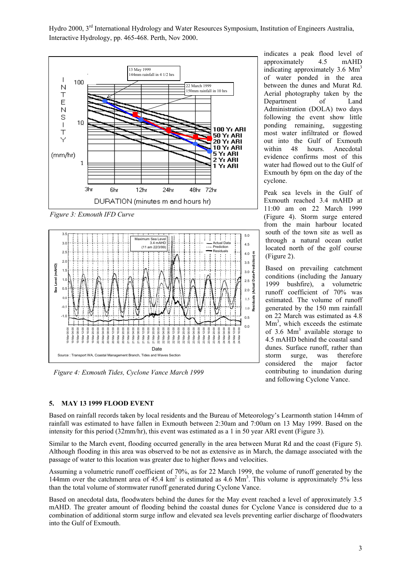

*Figure 3: Exmouth IFD Curve*



*Figure 4: Exmouth Tides, Cyclone Vance March 1999*

indicates a peak flood level of approximately 4.5 mAHD indicating approximately 3.6 Mm<sup>3</sup> of water ponded in the area between the dunes and Murat Rd. Aerial photography taken by the Department of Land Administration (DOLA) two days following the event show little ponding remaining, suggesting most water infiltrated or flowed out into the Gulf of Exmouth within 48 hours. Anecdotal evidence confirms most of this water had flowed out to the Gulf of Exmouth by 6pm on the day of the cyclone.

Peak sea levels in the Gulf of Exmouth reached 3.4 mAHD at 11:00 am on 22 March 1999 (Figure 4). Storm surge entered from the main harbour located south of the town site as well as through a natural ocean outlet located north of the golf course (Figure 2).

Based on prevailing catchment conditions (including the January 1999 bushfire), a volumetric runoff coefficient of 70% was estimated. The volume of runoff generated by the 150 mm rainfall on 22 March was estimated as 4.8  $Mm<sup>3</sup>$ , which exceeds the estimate of 3.6  $\text{Mm}^3$  available storage to 4.5 mAHD behind the coastal sand dunes. Surface runoff, rather than storm surge, was therefore considered the major factor contributing to inundation during and following Cyclone Vance.

# **5. MAY 13 1999 FLOOD EVENT**

Based on rainfall records taken by local residents and the Bureau of Meteorology's Learmonth station 144mm of rainfall was estimated to have fallen in Exmouth between 2:30am and 7:00am on 13 May 1999. Based on the intensity for this period (32mm/hr), this event was estimated as a 1 in 50 year ARI event (Figure 3).

Similar to the March event, flooding occurred generally in the area between Murat Rd and the coast (Figure 5). Although flooding in this area was observed to be not as extensive as in March, the damage associated with the passage of water to this location was greater due to higher flows and velocities.

Assuming a volumetric runoff coefficient of 70%, as for 22 March 1999, the volume of runoff generated by the 144mm over the catchment area of 45.4  $km^2$  is estimated as 4.6  $Mm^3$ . This volume is approximately 5% less than the total volume of stormwater runoff generated during Cyclone Vance.

Based on anecdotal data, floodwaters behind the dunes for the May event reached a level of approximately 3.5 mAHD. The greater amount of flooding behind the coastal dunes for Cyclone Vance is considered due to a combination of additional storm surge inflow and elevated sea levels preventing earlier discharge of floodwaters into the Gulf of Exmouth.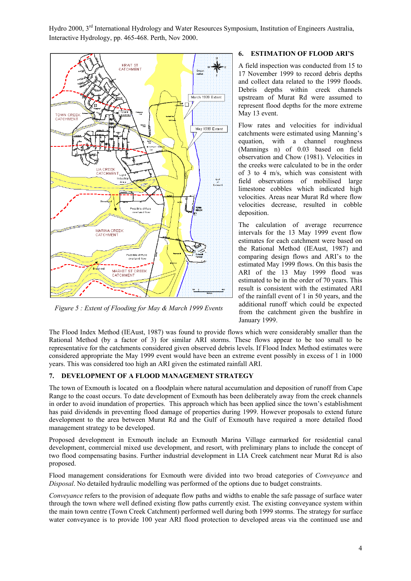

*Figure 5 : Extent of Flooding for May & March 1999 Events*

# **6. ESTIMATION OF FLOOD ARI'S**

A field inspection was conducted from 15 to 17 November 1999 to record debris depths and collect data related to the 1999 floods. Debris depths within creek channels upstream of Murat Rd were assumed to represent flood depths for the more extreme May 13 event.

Flow rates and velocities for individual catchments were estimated using Manning's equation, with a channel roughness (Mannings n) of 0.03 based on field observation and Chow (1981). Velocities in the creeks were calculated to be in the order of 3 to 4 m/s, which was consistent with field observations of mobilised large limestone cobbles which indicated high velocities. Areas near Murat Rd where flow velocities decrease, resulted in cobble deposition.

The calculation of average recurrence intervals for the 13 May 1999 event flow estimates for each catchment were based on the Rational Method (IEAust, 1987) and comparing design flows and ARI's to the estimated May 1999 flows. On this basis the ARI of the 13 May 1999 flood was estimated to be in the order of 70 years. This result is consistent with the estimated ARI of the rainfall event of 1 in 50 years, and the additional runoff which could be expected from the catchment given the bushfire in January 1999.

The Flood Index Method (IEAust, 1987) was found to provide flows which were considerably smaller than the Rational Method (by a factor of 3) for similar ARI storms. These flows appear to be too small to be representative for the catchments considered given observed debris levels. If Flood Index Method estimates were considered appropriate the May 1999 event would have been an extreme event possibly in excess of 1 in 1000 years. This was considered too high an ARI given the estimated rainfall ARI.

# **7. DEVELOPMENT OF A FLOOD MANAGEMENT STRATEGY**

The town of Exmouth is located on a floodplain where natural accumulation and deposition of runoff from Cape Range to the coast occurs. To date development of Exmouth has been deliberately away from the creek channels in order to avoid inundation of properties. This approach which has been applied since the town's establishment has paid dividends in preventing flood damage of properties during 1999. However proposals to extend future development to the area between Murat Rd and the Gulf of Exmouth have required a more detailed flood management strategy to be developed.

Proposed development in Exmouth include an Exmouth Marina Village earmarked for residential canal development, commercial mixed use development, and resort, with preliminary plans to include the concept of two flood compensating basins. Further industrial development in LIA Creek catchment near Murat Rd is also proposed.

Flood management considerations for Exmouth were divided into two broad categories of *Conveyance* and *Disposal*. No detailed hydraulic modelling was performed of the options due to budget constraints.

*Conveyance* refers to the provision of adequate flow paths and widths to enable the safe passage of surface water through the town where well defined existing flow paths currently exist. The existing conveyance system within the main town centre (Town Creek Catchment) performed well during both 1999 storms. The strategy for surface water conveyance is to provide 100 year ARI flood protection to developed areas via the continued use and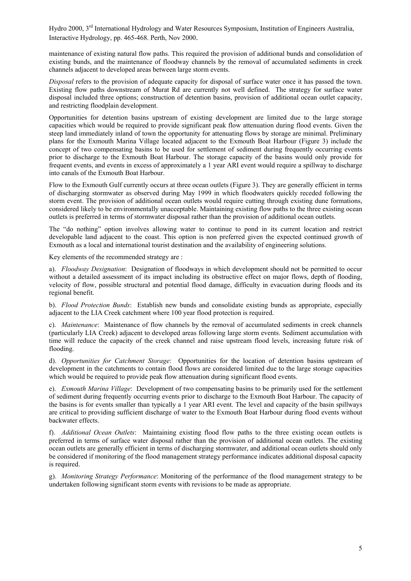maintenance of existing natural flow paths. This required the provision of additional bunds and consolidation of existing bunds, and the maintenance of floodway channels by the removal of accumulated sediments in creek channels adjacent to developed areas between large storm events.

*Disposal* refers to the provision of adequate capacity for disposal of surface water once it has passed the town. Existing flow paths downstream of Murat Rd are currently not well defined. The strategy for surface water disposal included three options; construction of detention basins, provision of additional ocean outlet capacity, and restricting floodplain development.

Opportunities for detention basins upstream of existing development are limited due to the large storage capacities which would be required to provide significant peak flow attenuation during flood events. Given the steep land immediately inland of town the opportunity for attenuating flows by storage are minimal. Preliminary plans for the Exmouth Marina Village located adjacent to the Exmouth Boat Harbour (Figure 3) include the concept of two compensating basins to be used for settlement of sediment during frequently occurring events prior to discharge to the Exmouth Boat Harbour. The storage capacity of the basins would only provide for frequent events, and events in excess of approximately a 1 year ARI event would require a spillway to discharge into canals of the Exmouth Boat Harbour.

Flow to the Exmouth Gulf currently occurs at three ocean outlets (Figure 3). They are generally efficient in terms of discharging stormwater as observed during May 1999 in which floodwaters quickly receded following the storm event. The provision of additional ocean outlets would require cutting through existing dune formations, considered likely to be environmentally unacceptable. Maintaining existing flow paths to the three existing ocean outlets is preferred in terms of stormwater disposal rather than the provision of additional ocean outlets.

The "do nothing" option involves allowing water to continue to pond in its current location and restrict developable land adjacent to the coast. This option is non preferred given the expected continued growth of Exmouth as a local and international tourist destination and the availability of engineering solutions.

Key elements of the recommended strategy are :

a). *Floodway Designation*: Designation of floodways in which development should not be permitted to occur without a detailed assessment of its impact including its obstructive effect on major flows, depth of flooding, velocity of flow, possible structural and potential flood damage, difficulty in evacuation during floods and its regional benefit.

b). *Flood Protection Bunds*: Establish new bunds and consolidate existing bunds as appropriate, especially adjacent to the LIA Creek catchment where 100 year flood protection is required.

c). *Maintenance*: Maintenance of flow channels by the removal of accumulated sediments in creek channels (particularly LIA Creek) adjacent to developed areas following large storm events. Sediment accumulation with time will reduce the capacity of the creek channel and raise upstream flood levels, increasing future risk of flooding.

d). *Opportunities for Catchment Storage*: Opportunities for the location of detention basins upstream of development in the catchments to contain flood flows are considered limited due to the large storage capacities which would be required to provide peak flow attenuation during significant flood events.

e). *Exmouth Marina Village*: Development of two compensating basins to be primarily used for the settlement of sediment during frequently occurring events prior to discharge to the Exmouth Boat Harbour. The capacity of the basins is for events smaller than typically a 1 year ARI event. The level and capacity of the basin spillways are critical to providing sufficient discharge of water to the Exmouth Boat Harbour during flood events without backwater effects.

f). *Additional Ocean Outlets*: Maintaining existing flood flow paths to the three existing ocean outlets is preferred in terms of surface water disposal rather than the provision of additional ocean outlets. The existing ocean outlets are generally efficient in terms of discharging stormwater, and additional ocean outlets should only be considered if monitoring of the flood management strategy performance indicates additional disposal capacity is required.

g). *Monitoring Strategy Performance*: Monitoring of the performance of the flood management strategy to be undertaken following significant storm events with revisions to be made as appropriate.